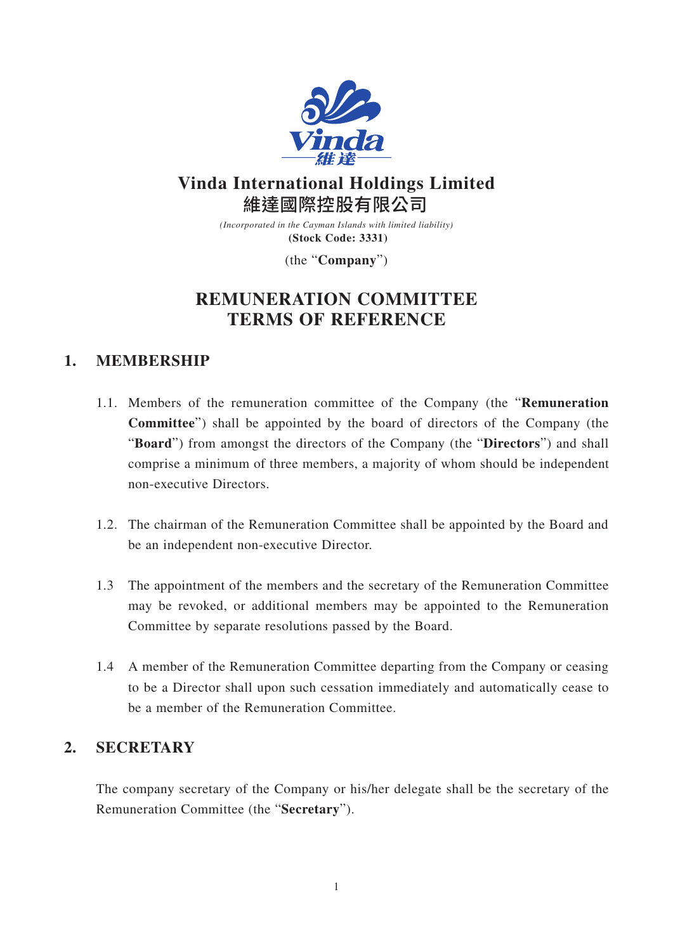

# **Vinda International Holdings Limited** 維達國際控股有限公司

*(Incorporated in the Cayman Islands with limited liability)* **(Stock Code: 3331)**

(the "**Company**")

# **REMUNERATION COMMITTEE TERMS OF REFERENCE**

## **1. MEMBERSHIP**

- 1.1. Members of the remuneration committee of the Company (the "**Remuneration Committee**") shall be appointed by the board of directors of the Company (the "**Board**") from amongst the directors of the Company (the "**Directors**") and shall comprise a minimum of three members, a majority of whom should be independent non-executive Directors.
- 1.2. The chairman of the Remuneration Committee shall be appointed by the Board and be an independent non-executive Director.
- 1.3 The appointment of the members and the secretary of the Remuneration Committee may be revoked, or additional members may be appointed to the Remuneration Committee by separate resolutions passed by the Board.
- 1.4 A member of the Remuneration Committee departing from the Company or ceasing to be a Director shall upon such cessation immediately and automatically cease to be a member of the Remuneration Committee.

## **2. SECRETARY**

The company secretary of the Company or his/her delegate shall be the secretary of the Remuneration Committee (the "**Secretary**").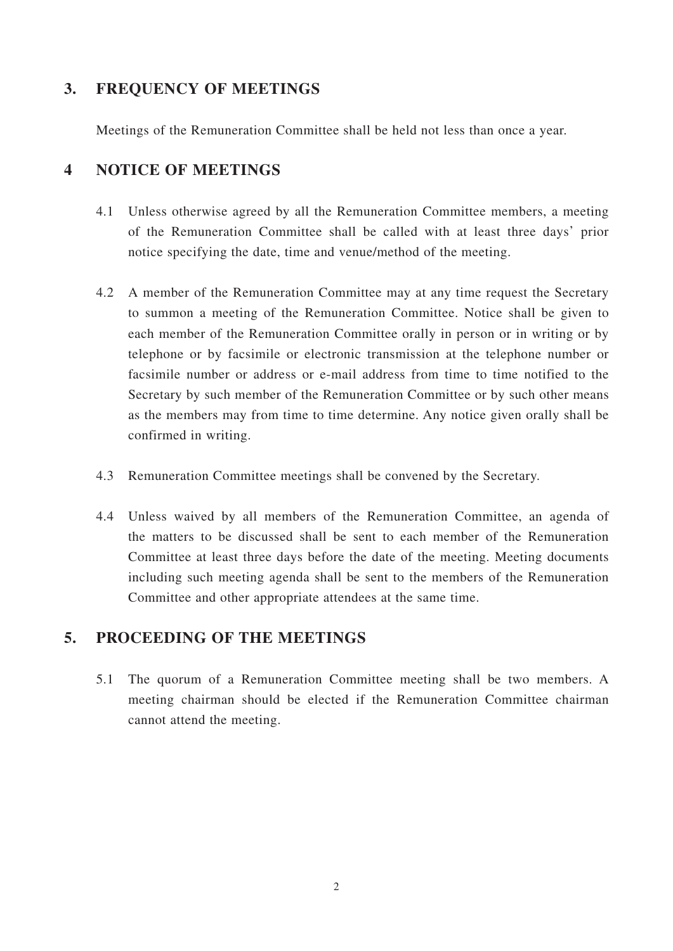### **3. FREQUENCY OF MEETINGS**

Meetings of the Remuneration Committee shall be held not less than once a year.

### **4 NOTICE OF MEETINGS**

- 4.1 Unless otherwise agreed by all the Remuneration Committee members, a meeting of the Remuneration Committee shall be called with at least three days' prior notice specifying the date, time and venue/method of the meeting.
- 4.2 A member of the Remuneration Committee may at any time request the Secretary to summon a meeting of the Remuneration Committee. Notice shall be given to each member of the Remuneration Committee orally in person or in writing or by telephone or by facsimile or electronic transmission at the telephone number or facsimile number or address or e-mail address from time to time notified to the Secretary by such member of the Remuneration Committee or by such other means as the members may from time to time determine. Any notice given orally shall be confirmed in writing.
- 4.3 Remuneration Committee meetings shall be convened by the Secretary.
- 4.4 Unless waived by all members of the Remuneration Committee, an agenda of the matters to be discussed shall be sent to each member of the Remuneration Committee at least three days before the date of the meeting. Meeting documents including such meeting agenda shall be sent to the members of the Remuneration Committee and other appropriate attendees at the same time.

#### **5. PROCEEDING OF THE MEETINGS**

5.1 The quorum of a Remuneration Committee meeting shall be two members. A meeting chairman should be elected if the Remuneration Committee chairman cannot attend the meeting.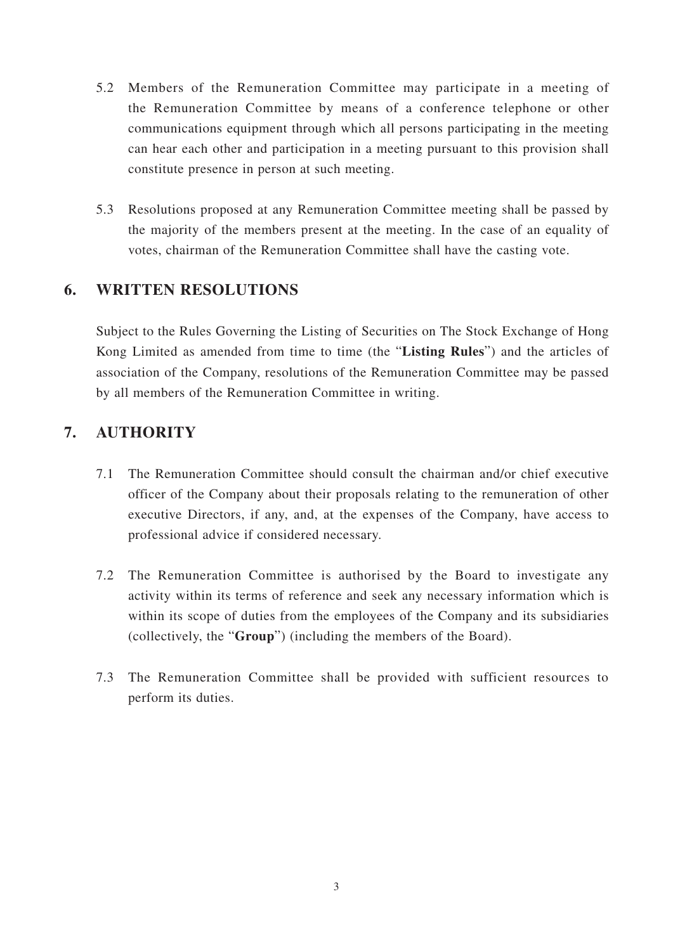- 5.2 Members of the Remuneration Committee may participate in a meeting of the Remuneration Committee by means of a conference telephone or other communications equipment through which all persons participating in the meeting can hear each other and participation in a meeting pursuant to this provision shall constitute presence in person at such meeting.
- 5.3 Resolutions proposed at any Remuneration Committee meeting shall be passed by the majority of the members present at the meeting. In the case of an equality of votes, chairman of the Remuneration Committee shall have the casting vote.

## **6. WRITTEN RESOLUTIONS**

Subject to the Rules Governing the Listing of Securities on The Stock Exchange of Hong Kong Limited as amended from time to time (the "**Listing Rules**") and the articles of association of the Company, resolutions of the Remuneration Committee may be passed by all members of the Remuneration Committee in writing.

## **7. AUTHORITY**

- 7.1 The Remuneration Committee should consult the chairman and/or chief executive officer of the Company about their proposals relating to the remuneration of other executive Directors, if any, and, at the expenses of the Company, have access to professional advice if considered necessary.
- 7.2 The Remuneration Committee is authorised by the Board to investigate any activity within its terms of reference and seek any necessary information which is within its scope of duties from the employees of the Company and its subsidiaries (collectively, the "**Group**") (including the members of the Board).
- 7.3 The Remuneration Committee shall be provided with sufficient resources to perform its duties.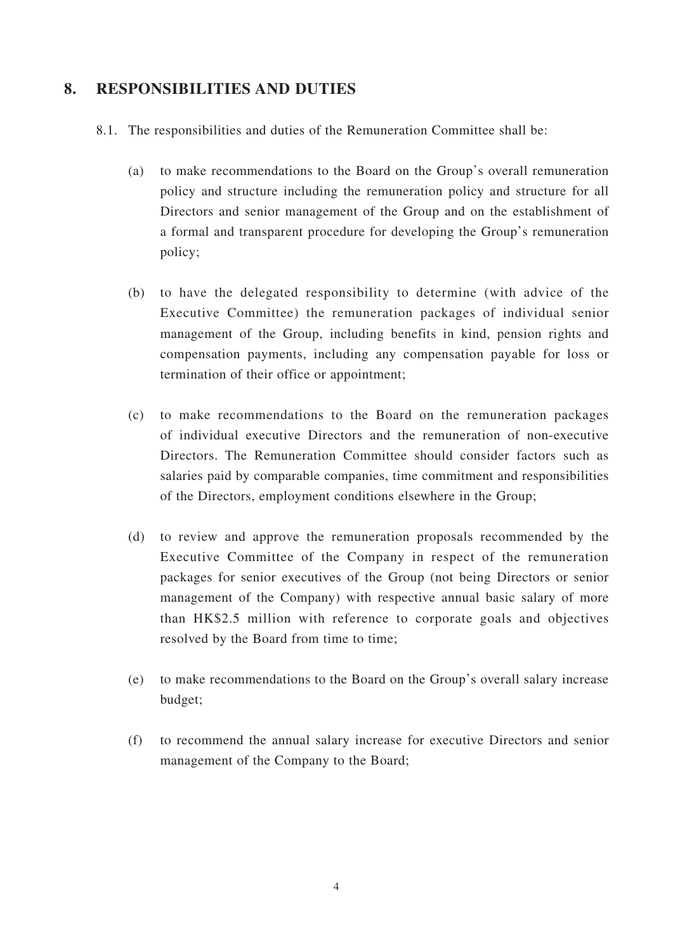#### **8. RESPONSIBILITIES AND DUTIES**

- 8.1. The responsibilities and duties of the Remuneration Committee shall be:
	- (a) to make recommendations to the Board on the Group's overall remuneration policy and structure including the remuneration policy and structure for all Directors and senior management of the Group and on the establishment of a formal and transparent procedure for developing the Group's remuneration policy;
	- (b) to have the delegated responsibility to determine (with advice of the Executive Committee) the remuneration packages of individual senior management of the Group, including benefits in kind, pension rights and compensation payments, including any compensation payable for loss or termination of their office or appointment;
	- (c) to make recommendations to the Board on the remuneration packages of individual executive Directors and the remuneration of non-executive Directors. The Remuneration Committee should consider factors such as salaries paid by comparable companies, time commitment and responsibilities of the Directors, employment conditions elsewhere in the Group;
	- (d) to review and approve the remuneration proposals recommended by the Executive Committee of the Company in respect of the remuneration packages for senior executives of the Group (not being Directors or senior management of the Company) with respective annual basic salary of more than HK\$2.5 million with reference to corporate goals and objectives resolved by the Board from time to time;
	- (e) to make recommendations to the Board on the Group's overall salary increase budget;
	- (f) to recommend the annual salary increase for executive Directors and senior management of the Company to the Board;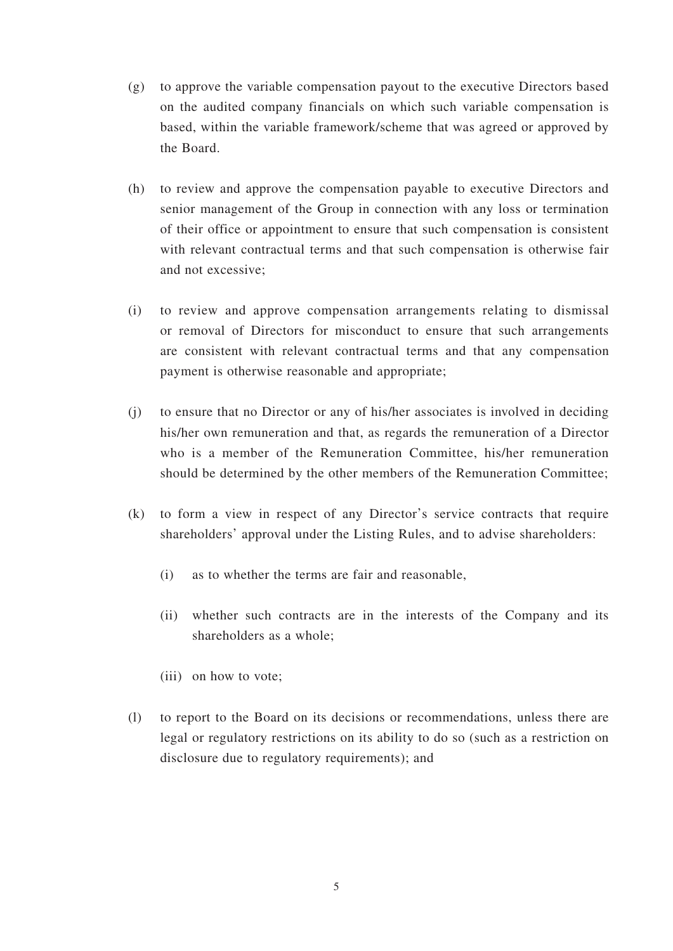- (g) to approve the variable compensation payout to the executive Directors based on the audited company financials on which such variable compensation is based, within the variable framework/scheme that was agreed or approved by the Board.
- (h) to review and approve the compensation payable to executive Directors and senior management of the Group in connection with any loss or termination of their office or appointment to ensure that such compensation is consistent with relevant contractual terms and that such compensation is otherwise fair and not excessive;
- (i) to review and approve compensation arrangements relating to dismissal or removal of Directors for misconduct to ensure that such arrangements are consistent with relevant contractual terms and that any compensation payment is otherwise reasonable and appropriate;
- (j) to ensure that no Director or any of his/her associates is involved in deciding his/her own remuneration and that, as regards the remuneration of a Director who is a member of the Remuneration Committee, his/her remuneration should be determined by the other members of the Remuneration Committee;
- (k) to form a view in respect of any Director's service contracts that require shareholders' approval under the Listing Rules, and to advise shareholders:
	- (i) as to whether the terms are fair and reasonable,
	- (ii) whether such contracts are in the interests of the Company and its shareholders as a whole;
	- (iii) on how to vote;
- (l) to report to the Board on its decisions or recommendations, unless there are legal or regulatory restrictions on its ability to do so (such as a restriction on disclosure due to regulatory requirements); and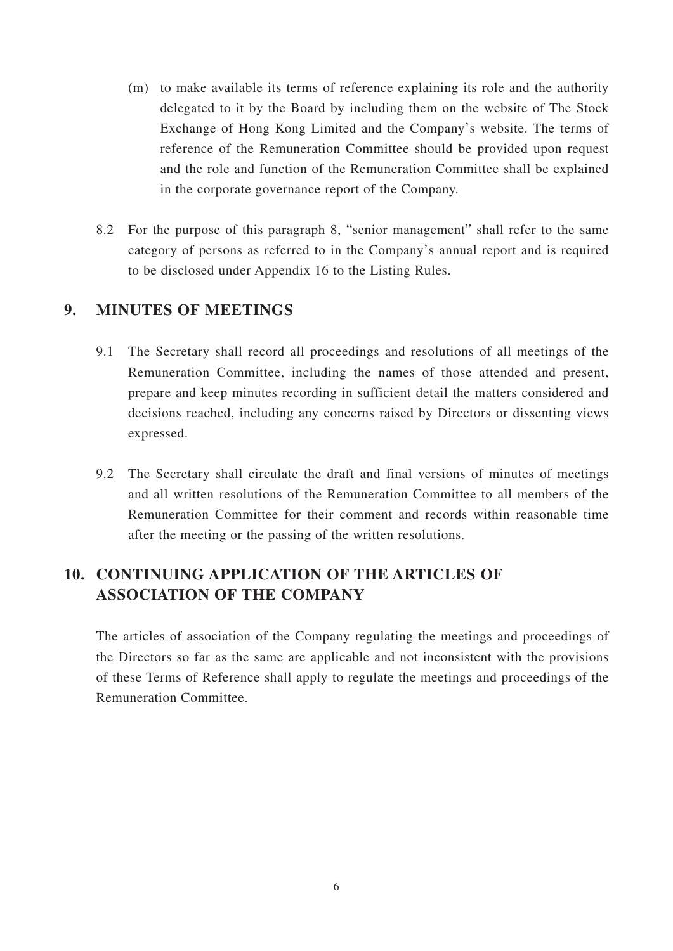- (m) to make available its terms of reference explaining its role and the authority delegated to it by the Board by including them on the website of The Stock Exchange of Hong Kong Limited and the Company's website. The terms of reference of the Remuneration Committee should be provided upon request and the role and function of the Remuneration Committee shall be explained in the corporate governance report of the Company.
- 8.2 For the purpose of this paragraph 8, "senior management" shall refer to the same category of persons as referred to in the Company's annual report and is required to be disclosed under Appendix 16 to the Listing Rules.

### **9. MINUTES OF MEETINGS**

- 9.1 The Secretary shall record all proceedings and resolutions of all meetings of the Remuneration Committee, including the names of those attended and present, prepare and keep minutes recording in sufficient detail the matters considered and decisions reached, including any concerns raised by Directors or dissenting views expressed.
- 9.2 The Secretary shall circulate the draft and final versions of minutes of meetings and all written resolutions of the Remuneration Committee to all members of the Remuneration Committee for their comment and records within reasonable time after the meeting or the passing of the written resolutions.

## **10. CONTINUING APPLICATION OF THE ARTICLES OF ASSOCIATION OF THE COMPANY**

The articles of association of the Company regulating the meetings and proceedings of the Directors so far as the same are applicable and not inconsistent with the provisions of these Terms of Reference shall apply to regulate the meetings and proceedings of the Remuneration Committee.